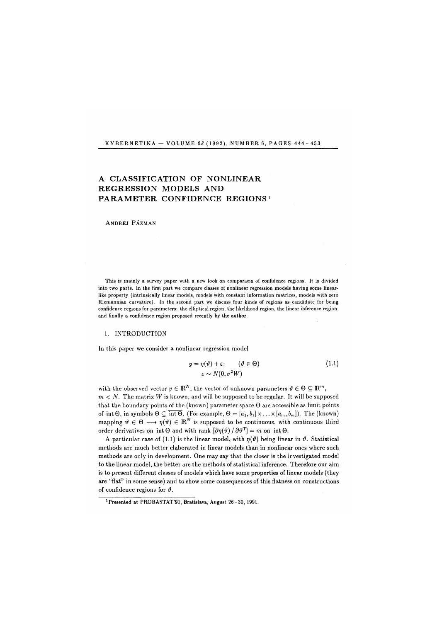KYBERNETIKA — VOLUME  $28$  (1992), NUMBER 6, PAGES  $444 - 453$ 

# A CLASSIFICATION OF NONLINEAR REGRESSION MODELS AND PARAMETER CONFIDENCE REGIONS<sup>1</sup>

ANDREJ PÁZMAN

This is mainly a survey paper with a new look on comparison of confidence regions. It is divided into two parts. In the first part we compare classes of nonlinear regression models having some linearlike property (intrinsically linear models, models with constant information matrices, models with zero Riemannian curvature). In the second part we discuss four kinds of regions as candidate for being confidence regions for parameters: the elliptical region, the likelihood region, the linear inference region, and finally a confidence region proposed recently by the author.

#### 1. INTRODUCTION

In this paper we consider a nonlinear regression model

$$
y = \eta(\vartheta) + \varepsilon; \qquad (\vartheta \in \Theta) \tag{1.1}
$$

$$
\varepsilon \sim N(0, \sigma^2 W)
$$

with the observed vector  $y \in \mathbb{R}^N$ , the vector of unknown parameters  $\vartheta \in \Theta \subseteq \mathbb{R}^m$ ,  $m < N$ . The matrix W is known, and will be supposed to be regular. It will be supposed that the boundary points of the (known) parameter space  $\Theta$  are accessible as limit points of int  $\Theta$ , in symbols  $\Theta \subseteq \overline{\text{int }\Theta}$ . (For example,  $\Theta = [a_1, b_1] \times \ldots \times [a_m, b_m]$ ). The (known) mapping  $\vartheta \in \Theta \longrightarrow \eta(\vartheta) \in \mathbb{R}^N$  is supposed to be continuous, with continuous third order derivatives on int  $\Theta$  and with rank  $\left[ \partial \eta(\vartheta) / \partial \vartheta^T \right] = m$  on int  $\Theta$ .

A particular case of (1.1) is the linear model, with  $\eta(\vartheta)$  being linear in  $\vartheta$ . Statistical methods are much better elaborated in linear models than in nonlinear ones where such methods are only in development. One may say that the closer is the investigated model to the linear model, the better are the methods of statistical inference. Therefore our aim is to present different classes of models which have some properties of linear models (they are "flat" in some sense) and to show some consequences of this flatness on constructions of confidence regions for  $\vartheta$ .

<sup>&</sup>lt;sup>1</sup>Presented at PROBASTAT'91, Bratislava, August 26-30, 1991.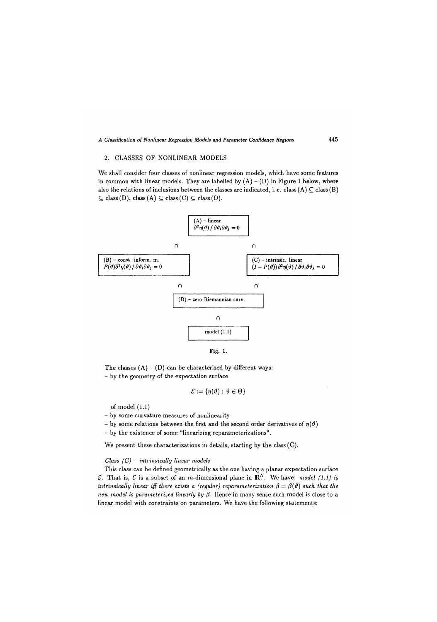## 2. CLASSES OF NONLINEAR MODELS

We shall consider four classes of nonlinear regression models, which have some features in common with linear models. They are labelled by  $(A) - (D)$  in Figure 1 below, where also the relations of inclusions between the classes are indicated, i.e. class  $(A) \subseteq$  class  $(B)$  $\subseteq$  class (D), class (A)  $\subseteq$  class (C)  $\subseteq$  class (D).



The classes  $(A) - (D)$  can be characterized by different ways: - by the geometry of the expectation surface

$$
\mathcal{E}:=\{\eta(\vartheta):\,\vartheta\in\Theta\}
$$

% of model  $(1.1)$ <br>- by some curvature measures of nonlinearity

- by some relations between the first and the second order derivatives of  $\eta(\vartheta)$ 

- by the existence of some "linearizing reparameterizations".

- by the existence of some "linearizing reparameterizations". We present these characterizations in details, starting by the class  $(C)$ .

## *Class (C)* - *intrinsically linear models*

This class can be defined geometrically as the one having a planar expectation surface  $\mathcal{E}$ *.* That is,  $\mathcal{E}$  is a subset of an *m*-dimensional plane in  $\mathbb{R}^N$ . We have: *model (1.1) is intrinsically linear iff there exists a (regular) reparameterization*  $\beta = \beta(\vartheta)$  such that the *new model is parameterized linearly by*  $\beta$ *.* Hence in many sense such model is close to a linear model with constraints on parameters. We have the following statements: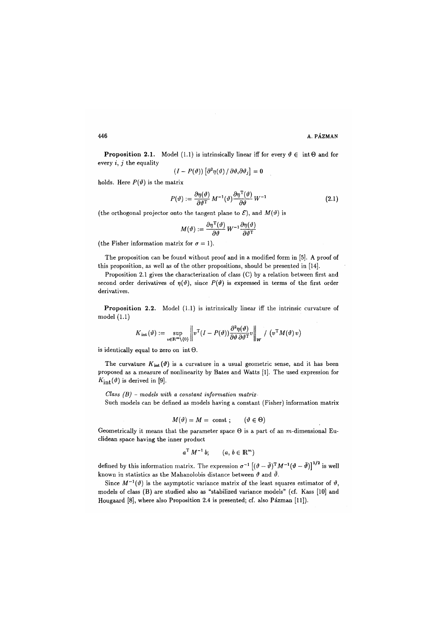**Proposition 2.1.** Model (1.1) is intrinsically linear iff for every  $\vartheta \in \text{int } \Theta$  and for every *i, j* the equality  $\mathbb{R}^2$ ÷.

$$
(I - P(\vartheta)) [\partial^2 \eta(\vartheta) / \partial \vartheta_i \partial \vartheta_j] = 0
$$

holds. Here  $P(\vartheta)$  is the matrix

$$
P(\vartheta) := \frac{\partial \eta(\vartheta)}{\partial \vartheta^{\mathrm{T}}} M^{-1}(\vartheta) \frac{\partial \eta^{\mathrm{T}}(\vartheta)}{\partial \vartheta} W^{-1}
$$
 (2.1)

(the orthogonal projector onto the tangent plane to  $\mathcal{E}$ ), and  $M(\vartheta)$  is

$$
M(\vartheta) := \frac{\partial \eta^{\mathrm{T}}(\vartheta)}{\partial \vartheta} W^{-1} \frac{\partial \eta(\vartheta)}{\partial \vartheta^{\mathrm{T}}}
$$

(the Fisher information matrix for  $\sigma = 1$ ).

The proposition can be found without proof and in a modified form in [5]. A proof of this proposition, as well as of the other propositions, should be presented in [14].

Proposition 2.1 gives the characterization of class (C) by a relation between first and second order derivatives of  $\eta(\vartheta)$ , since  $P(\vartheta)$  is expressed in terms of the first order derivatives.

**Proposition 2.2.** Model (1.1) is intrinsically linear iff the intrinsic curvature of model (1.1)

$$
K_{\rm int}(\vartheta) := \sup_{v \in \mathbf{R}^m \setminus \{0\}} \left\| v^{\rm T} (I - P(\vartheta)) \frac{\partial^2 \eta(\vartheta)}{\partial \vartheta \partial \vartheta^{\rm T}} v \right\|_{W} / \left( v^{\rm T} M(\vartheta) v \right)
$$

is identically equal to zero on  $int \Theta$ .

The curvature  $K_{int}(\vartheta)$  is a curvature in a usual geometric sense, and it has been proposed as a measure of nonlinearity by Bates and Watts [1]. The used expression for  $K_{\text{int}}(\vartheta)$  is derived in [9].

*Class (B)* - *models with a constant information matrix -*

Such models can be defined as models having a constant (Fisher) information matrix

$$
M(\vartheta) = M = \text{ const } ; \qquad (\vartheta \in \Theta)
$$

Geometrically it means that the parameter space  $\Theta$  is a part of an m-dimensional Euclidean space having the inner product

$$
a^{\mathrm{T}}\,M^{-1}\,b;\qquad (a,\,b\in\mathbb{R}^m)
$$

defined by this information matrix. The expression  $\sigma^{-1}$   $[(\vartheta - \bar{\vartheta})^T M^{-1} (\vartheta - \bar{\vartheta})]^{1/2}$  is well known in statistics as the Mahanolobis distance between  $\vartheta$  and  $\bar{\vartheta}$ .

Since  $M^{-1}(\vartheta)$  is the asymptotic variance matrix of the least squares estimator of  $\vartheta$ , models of class (B) are studied also as "stabilized variance models" (cf. Kass [10] and Hougaard [8], where also Proposition 2.4 is presented; cf. also Pázman [11]).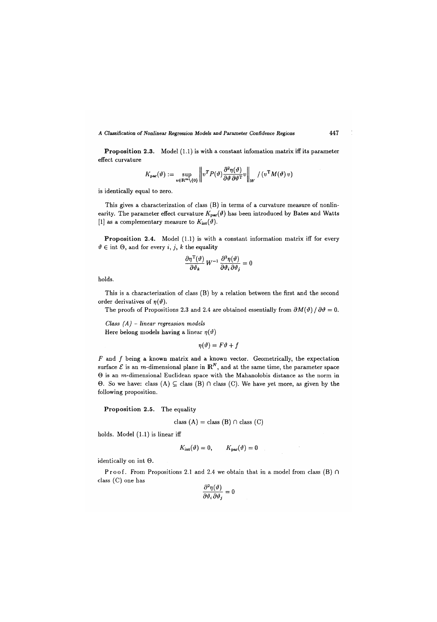**Proposition 2.3.** Model (1.1) is with a constant infomation matrix iff its parameter effect curvature

$$
K_{\mathbf{par}}(\vartheta) := \sup_{v \in \mathbf{R}^m \setminus \{\mathbf{0}\}} \left\| v^T P(\vartheta) \frac{\partial^2 \eta(\vartheta)}{\partial \vartheta \partial \vartheta^T} v \right\|_W / (v^T M(\vartheta) v)
$$

is identically equal to zero.

This gives a characterization of class (B) in terms of a curvature measure of nonlinearity. The parameter effect curvature  $K_{\text{par}}(\vartheta)$  has been introduced by Bates and Watts [1] as a complementary measure to  $K_{\text{int}}(\vartheta)$ .

Proposition 2.4. Model (1.1) is with a constant information matrix iff for every  $\vartheta \in \text{int } \Theta$ , and for every *i*, *j*, *k* the equality

$$
\frac{\partial \eta^{\mathrm{T}}(\vartheta)}{\partial \vartheta_k} W^{-1} \frac{\partial^2 \eta(\vartheta)}{\partial \vartheta_i \partial \vartheta_j} = 0
$$

holds.

This is a characterization of class (B) by a relation between the first and the second order derivatives of  $\eta(\vartheta)$ .

The proofs of Propositions 2.3 and 2.4 are obtained essentially from  $\partial M(\vartheta)/\partial \vartheta = 0$ .

*Class (A)* - *linear regression models*  Here belong models having a linear  $\eta(\vartheta)$ 

 $\eta(\vartheta) = F\vartheta + f$ 

 $F$  and  $f$  being a known matrix and a known vector. Geometrically, the expectation surface  $\mathcal E$  is an *m*-dimensional plane in  $\mathbb R^N$ , and at the same time, the parameter space  $\Theta$  is an m-dimensional Euclidean space with the Mahanolobis distance as the norm in  $\Theta$ . So we have: class  $(A) \subseteq$  class  $(B) \cap$  class  $(C)$ . We have yet more, as given by the following proposition.

Proposition 2.5. The equality

$$
class (A) = class (B) \cap class (C)
$$

holds. Model (1.1) is linear iff

$$
K_{\rm int}(\vartheta)=0, \qquad K_{\rm par}(\vartheta)=0
$$

identically on int G.

Proof. From Propositions 2.1 and 2.4 we obtain that in a model from class (B)  $\cap$ class (C) one has  $\sim$ 

$$
\frac{\partial^2 \eta(\vartheta)}{\partial \vartheta_i \,\partial \vartheta_j} = 0
$$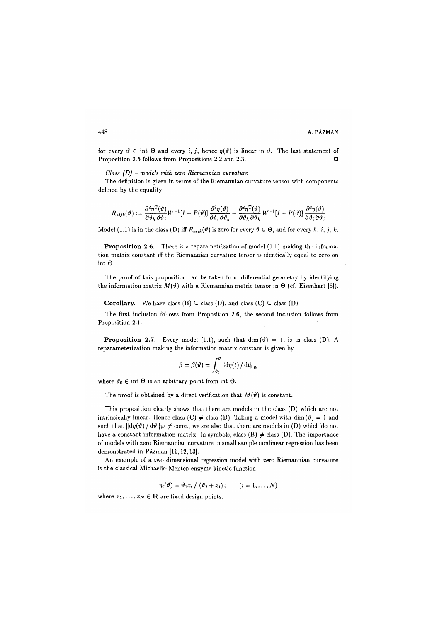for every  $\vartheta \in \text{int } \Theta$  and every *i*, *j*, hence  $\eta(\vartheta)$  is linear in  $\vartheta$ . The last statement of Proposition 2.5 follows from Propositions 2.2 and 2.3. •

*Class (D)* - *models with zero Riemannian curvature* 

The definition is given in terms of the Riemannian curvature tensor with components defined by the equality

$$
R_{hijk}(\vartheta) := \frac{\partial^2 \eta^{\mathrm{T}}(\vartheta)}{\partial \vartheta_h \, \partial \vartheta_j} W^{-1} [I - P(\vartheta)] \frac{\partial^2 \eta(\vartheta)}{\partial \vartheta_i \, \partial \vartheta_k} - \frac{\partial^2 \eta^{\mathrm{T}}(\vartheta)}{\partial \vartheta_h \, \partial \vartheta_k} W^{-1} [I - P(\vartheta)] \frac{\partial^2 \eta(\vartheta)}{\partial \vartheta_i \, \partial \vartheta_j}
$$

Model (1.1) is in the class (D) iff  $R_{hijk}(\vartheta)$  is zero for every  $\vartheta \in \Theta$ , and for every  $h, i, j, k$ .

**Proposition 2.6.** There is a reparametrization of model (1.1) making the information matrix constant iff the Riemannian curvature tensor is identically equal to zero on int  $\Theta$ .

The proof of this proposition can be taken from differential geometry by identifying the information matrix  $M(\vartheta)$  with a Riemannian metric tensor in  $\Theta$  (cf. Eisenhart [6]).

**Corollary.** We have class  $(B) \subseteq$  class  $(D)$ , and class  $(C) \subseteq$  class  $(D)$ .

The first inclusion follows from Proposition 2.6, the second inclusion follows from Proposition 2.1.

**Proposition 2.7.** Every model (1.1), such that dim( $\vartheta$ ) = 1, is in class (D). A reparameterization making the information matrix constant is given by

$$
\beta = \beta(\vartheta) = \int_{\vartheta_0}^{\vartheta} ||d\eta(t)/dt||_W
$$

where  $\vartheta_0 \in \text{int } \Theta$  is an arbitrary point from int  $\Theta$ .

The proof is obtained by a direct verification that  $M(\vartheta)$  is constant.

This proposition clearly shows that there are models in the class (D) which are not intrinsically linear. Hence class (C)  $\neq$  class (D). Taking a model with dim( $\vartheta$ ) = 1 and such that  $\|\mathrm{d}\eta(\vartheta)/\mathrm{d}\vartheta\|_{W} \neq \text{const}$ , we see also that there are models in (D) which do not have a constant information matrix. In symbols, class  $(B) \neq$  class  $(D)$ . The importance of models with zero Riemannian curvature in small sample nonlinear regression has been demonstrated in Pázman [11, 12, 13].

An example of a two dimensional regression model with zero Riemannian curvature is the classical Michaelis-Menten enzyme kinetic function

$$
\eta_i(\vartheta) = \vartheta_1 x_i / (\vartheta_2 + x_i); \qquad (i = 1, \ldots, N)
$$

where  $x_1, \ldots, x_N \in \mathbb{R}$  are fixed design points.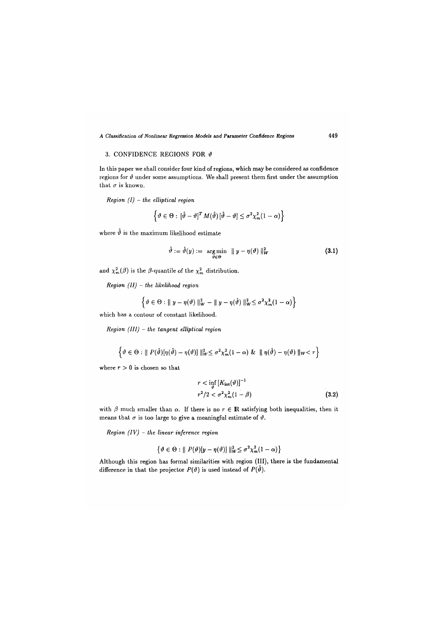## 3. CONFIDENCE REGIONS FOR  $\vartheta$

In this paper we shall consider four kind of regions, which may be considered as confidence regions for  $\vartheta$  under some assumptions. We shall present them first under the assumption that  $\sigma$  is known.

*Region (I) - the elliptical region* 

$$
\left\{\vartheta\in\Theta:\left[\hat{\vartheta}-\vartheta\right]^T M(\hat{\vartheta})\left[\hat{\vartheta}-\vartheta\right]\leq\sigma^2\chi^2_m(1-\alpha)\right\}
$$

where  $\hat{\vartheta}$  is the maximum likelihood estimate

$$
\hat{\vartheta} := \hat{\vartheta}(y) := \underset{\vartheta \in \Theta}{\arg\min} \ \|\ y - \eta(\vartheta)\|_{W}^{2}
$$
 (3.1)

and  $\chi_m^2(\beta)$  is the  $\beta$ -quantile of the  $\chi_m^2$  distribution.

and *Xm(P)* i<sup>s</sup> the /3-quantile of the *xm* distribution. *Region (II) - the likelihood region* 

$$
\left\{\vartheta\in\Theta:\parallel y-\eta(\vartheta)\parallel_{W}^{2}-\parallel y-\eta(\hat{\vartheta})\parallel_{W}^{2}\leq\sigma^{2}\chi_{m}^{2}(1-\alpha)\right\}
$$

which has a contour of constant likelihood.

*Region (III)* - *the tangent elliptical region* 

$$
\left\{\vartheta\in\Theta:\parallel P(\hat{\vartheta})[\eta(\hat{\vartheta})-\eta(\vartheta)]\parallel_{W}^2\leq\sigma^2\chi^2_m(1-\alpha)\&\parallel\eta(\hat{\vartheta})-\eta(\vartheta)\parallel_{W}
$$

where  $r > 0$  is chosen so that

$$
r < \inf_{\vartheta} \left[ K_{\text{int}}(\vartheta) \right]^{-1}
$$
  

$$
r^2/2 < \sigma^2 \chi_m^2 (1 - \beta)
$$
 (3.2)

with  $\beta$  much smaller than  $\alpha$ . If there is no  $r \in \mathbb{R}$  satisfying both inequalities, then it means that  $\sigma$  is too large to give a meaningful estimate of  $\vartheta$ .

*Region (IV)* - *the linear inference region* 

$$
\left\{\vartheta \in \Theta : \|P(\vartheta)[y - \eta(\vartheta)]\|_{W}^{2} \leq \sigma^{2} \chi_{m}^{2}(1 - \alpha)\right\}
$$

Although this region has formal similarities with region (III), there is the fundamental difference in that the projector  $P(\vartheta)$  is used instead of  $P(\hat{\vartheta})$ .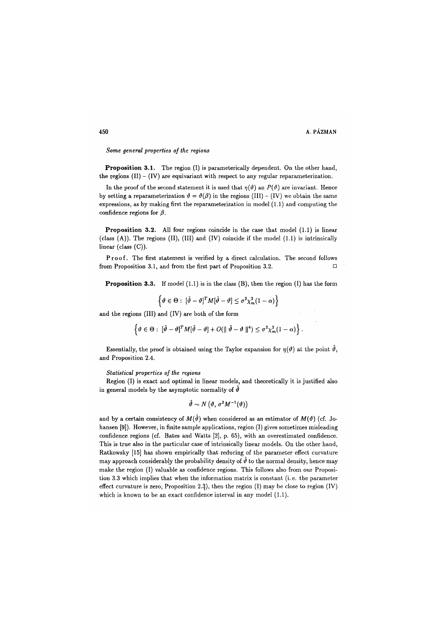*Some general properties of the regions* 

**Proposition 3**.**1**. The region (I) is parameterically dependent. On the other hand, the regions  $(II) - (IV)$  are equivariant with respect to any regular reparameterization.

In the proof of the second statement it is used that  $\eta(\vartheta)$  an  $P(\vartheta)$  are invariant. Hence by setting a reparameterization  $\vartheta = \vartheta(\beta)$  in the regions (III) - (IV) we obtain the same expressions, as by making first the reparameterization in model (1.1) and computing the confidence regions for  $\beta$ .

**Proposition 3**.**2**. All four regions coincide in the case that model (1.1) is linear (class (A)). The regions (II), (III) and (IV) coincide if the model (1.1) is intrinsically linear (class (C)).

Proof. The first statement is verified by a direct calculation. The second follows from Proposition 3.1, and from the first part of Proposition 3.2.  $\Box$ 

**Proposition 3.3.** If model (1.1) is in the class (B), then the region (I) has the form

$$
\left\{\vartheta \in \Theta : \; [\hat{\vartheta} - \vartheta]^T M [\hat{\vartheta} - \vartheta] \leq \sigma^2 \chi_m^2 (1 - \alpha) \right\}
$$

and the regions (III) and (IV) are both of the form

$$
\left\{\vartheta\in\Theta:\;[\hat{\vartheta}-\vartheta]^T M [\hat{\vartheta}-\vartheta]+O(\|\hat{\vartheta}-\vartheta\|^4)\leq \sigma^2\chi^2_m(1-\alpha)\right\}.
$$

Essentially, the proof is obtained using the Taylor expansion for  $\eta(\vartheta)$  at the point  $\hat{\vartheta}$ , and Proposition 2.4.

#### *Statistical properties of the regions*

Region (I) is exact and optimal in linear models, and theoretically it is justified also in general models by the asymptotic normality of  $\hat{\theta}$ 

$$
\hat{\vartheta} \sim N\left(\vartheta, \sigma^2 M^{-1}(\vartheta)\right)
$$

and by a certain consistency of  $M(\hat{\theta})$  when considered as an estimator of  $M(\theta)$  (cf. Johansen [9]). However, in finite sample applications, region (I) gives sometimes misleading confidence regions (cf. Bates and Watts [2], p. 65), with an overestimated confidence. This is true also in the particular case of intrinsically linear models. On the other hand, Ratkowsky [15] has shown empirically that reducing of the parameter effect curvature may approach considerably the probability density of  $\hat{\theta}$  to the normal density, hence may make the region (I) valuable as confidence regions. This follows also from our Proposition 3.3 which implies that when the information matrix is constant (i.e. the parameter effect curvature is zero, Proposition 2.3), then the region  $(I)$  may be close to region  $(IV)$ which is known to be an exact confidence interval in any model **(1**.**1)**.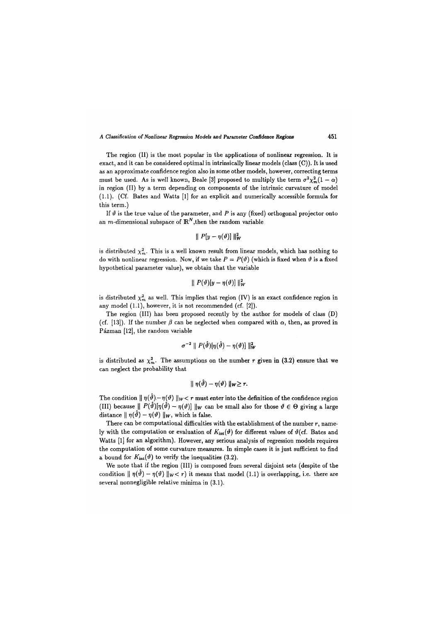The region (II) is the most popular in the applications of nonlinear regression. It is exact, and it can be considered optimal in intrinsically linear models (class (C)). It is used as an approximate confidence region also in some other models, however, correcting terms must be used. As is well known, Beale [3] proposed to multiply the term  $\sigma^2 \chi^2_m(1-\alpha)$ in region (II) by a term depending on components of the intrinsic curvature of model (1.1). (Cf. Bates and Watts [1] for an explicit and numerically accessible formula for this term.)

If  $\vartheta$  is the true value of the parameter, and P is any (fixed) orthogonal projector onto an *m*-dimensional subspace of  $\mathbb{R}^N$ , then the random variable

$$
\parallel P[y-\eta(\vartheta)] \parallel_W^2
$$

is distributed  $\chi^2_m$ . This is a well known result from linear models, which has nothing to do with nonlinear regression. Now, if we take  $P = P(\theta)$  (which is fixed when  $\theta$  is a fixed hypothetical parameter value), we obtain that the variable

$$
\parallel P(\vartheta)[y-\eta(\vartheta)] \parallel_W^2
$$

is distributed  $\chi^2_m$  as well. This implies that region (IV) is an exact confidence region in any model (1.1), however, it is not recommended (cf. [2]).

The region (III) has been proposed recently by the author for models of class (D) (cf. [13]). If the number  $\beta$  can be neglected when compared with  $\alpha$ , then, as proved in Pázman [12], the random variable

$$
\sigma^{-2} \parallel P(\hat{\vartheta})[\eta(\hat{\vartheta})-\eta(\vartheta)] \parallel^2_W
$$

is distributed as  $\chi^2_m$ . The assumptions on the number r given in (3.2) ensure that we can neglect the probability that

$$
\parallel \eta(\hat{\vartheta})-\eta(\vartheta)\parallel_{W}\geq r.
$$

The condition  $|| \eta(\hat{\theta}) - \eta(\theta)||_{W}$  *x* r must enter into the definition of the confidence region (III) because  $|| P(\hat{\theta})[\eta(\hat{\theta}) - \eta(\theta)] ||_{W}$  can be small also for those  $\theta \in \Theta$  giving a large distance  $|| \eta(\hat{\theta}) - \eta(\theta)||_W$ , which is false.

There can be computational difficulties with the establishment of the number  $r$ , namely with the computation or evaluation of  $K_{int}(\vartheta)$  for different values of  $\vartheta$  (cf. Bates and Watts [1] for an algorithm). However, any serious analysis of regression models requires the computation of some curvature measures. In simple cases it is just sufficient to find a bound for  $K_{\text{int}}(\vartheta)$  to verify the inequalities (3.2).

We note that if the region (III) is composed from several disjoint sets (despite of the condition  $|| \eta(\tilde{\theta}) - \eta(\theta)||_{W} < r$  it means that model (1.1) is overlapping, i.e. there are several nonnegligible relative minima in (3.1).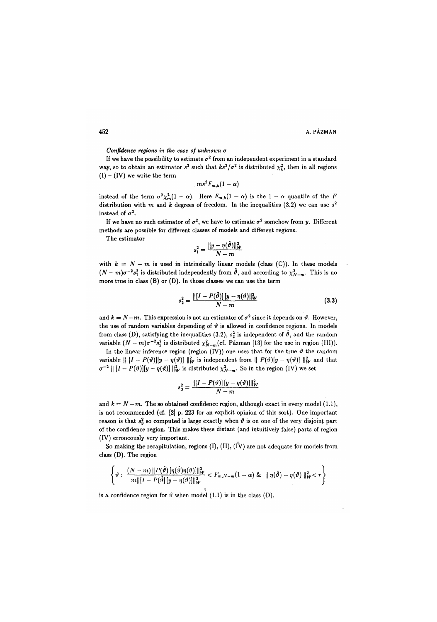*Confidence regions in the case of unknown a* 

If we have the possibility to estimate  $\sigma^2$  from an independent experiment in a standard way, so to obtain an estimator  $s^2$  such that  $ks^2/\sigma^2$  is distributed  $\chi^2_k$ , then in all regions  $(I) - (IV)$  we write the term

$$
ms^2F_{m,k}(1-\alpha)
$$

instead of the term  $\sigma^2 \chi_m^2(1-\alpha)$ . Here  $F_{m,k}(1-\alpha)$  is the  $1-\alpha$  quantile of the F distribution with  $m$  and  $k$  degrees of freedom. In the inequalities (3.2) we can use  $s^2$ instead of  $\sigma^2$ .

If we have no such estimator of  $\sigma^2$ , we have to estimate  $\sigma^2$  somehow from  $y$ . Different methods are possible for different classes of models and different regions.

The estimator

$$
s_1^2 = \frac{\|y - \eta(\hat{\vartheta})\|_W^2}{N - m}
$$

with  $k = N - m$  is used in intrinsically linear models (class (C)). In these models  $(N-m)\sigma^{-2}s_1^2$  is distributed independently from  $\vartheta$ , and according to  $\chi_{N-m}^2$ . This is no more true in class (B) or (D). In those classes we can use the term

$$
s_2^2 = \frac{\| [I - P(\hat{\vartheta})] \| y - \eta(\vartheta) \|_{W}^2}{N - m}
$$
(3.3)

and  $k = N - m$ . This expression is not an estimator of  $\sigma^2$  since it depends on  $\vartheta$ . However, the use of random variables depending of  $\vartheta$  is allowed in confidence regions. In models from class (D), satisfying the inequalities (3.2),  $s_2^2$  is independent of  $\hat{\vartheta}$ , and the random variable  $(N - m)\sigma^{-2}s_2^2$  is distributed  $\chi^2_{N-m}$  (cf. Pázman [13] for the use in region (III)).

In the linear inference region (region (IV)) one uses that for the true  $\vartheta$  the random variable  $\| [I - P(\vartheta)][y - \eta(\vartheta)] \|_{W}^2$  is independent from  $\| P(\vartheta)[y - \eta(\vartheta)] \|_{W}^2$  and that  $\sigma^{-2} \parallel [I - P(\vartheta)][y - \eta(\vartheta)] \parallel_W^2$  is distributed  $\chi^2_{N-m}$ . So in the region (IV) we set

$$
s_3^2 = \frac{\| [I - P(\vartheta)] \, [y - \eta(\vartheta)] \|_{W}^2}{N - m}
$$

and  $k = N - m$ . The so obtained confidence region, although exact in every model (1.1), is not recommended (cf. [2] p. 223 for an explicit opinion of this sort). One important reason is that  $s_3^2$  so computed is large exactly when  $\vartheta$  is on one of the very disjoint part of the confidence region. This makes these distant (and intuitively false) parts of region (IV) erroneously very important.

So making the recapitulation, regions  $(I)$ ,  $(II)$ ,  $(IV)$  are not adequate for models from class (D). The region

$$
\left\{\vartheta:\ \frac{(N-m)\|P(\hat{\vartheta})[\eta(\hat{\vartheta})\eta(\vartheta)]\|_{W}^{2}}{m\|[I-P(\hat{\vartheta})[y-\eta(\vartheta)]\|_{W}^{2}} < F_{m,N-m}(1-\alpha) \& \|\eta(\hat{\vartheta})-\eta(\vartheta)\|_{W}^{2} < r\right\}
$$

*m*<sub>II</sub>, *m*<sub>2</sub> *m*<sub>2</sub> *m*<sub>2</sub> *m*<sub>2</sub> *m*<sub>2</sub> *m*<sub>2</sub> *m*<sub>2</sub> *m*<sub>2</sub> *m*<sub>2</sub> *m*<sub>2</sub> *m*<sub>2</sub> *m*<sub>2</sub> *m*<sub>2</sub> *m*<sub>2</sub> *m*<sub>2</sub> *m*<sub>2</sub> *m*<sub>2</sub> *m*<sub>2</sub> *m*<sub>2</sub> *m*<sub>2</sub> *m*<sub>2</sub> *m*<sub>2</sub> *m*<sub>2</sub> *m*<sub>2</sub> *m*<sub>2</sub> *m*<sub>2</sub> *m*<sub>2</sub> *m*<sub>2</sub> *m*<sub>2</sub> *m*<sub>2</sub> *m*